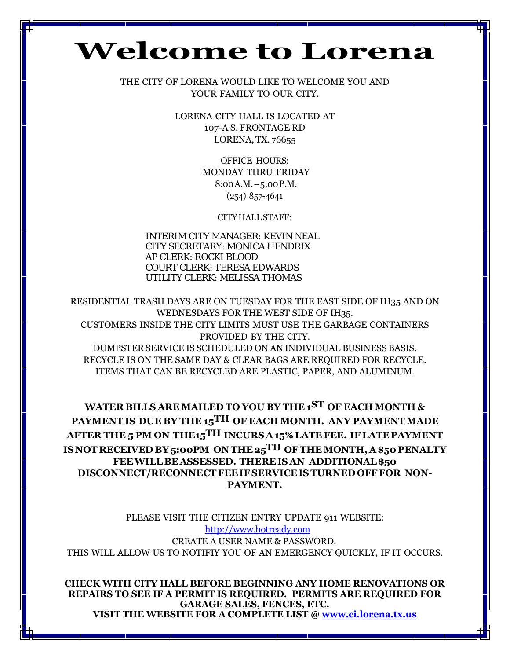# **Welcome to Lorena**

THE CITY OF LORENA WOULD LIKE TO WELCOME YOU AND YOUR FAMILY TO OUR CITY.

> LORENA CITY HALL IS LOCATED AT 107-A S. FRONTAGE RD LORENA, TX. 76655

> > OFFICE HOURS: MONDAY THRU FRIDAY 8:00A.M.–5:00P.M. (254) 857-4641

> > > CITYHALLSTAFF:

INTERIM CITY MANAGER: KEVIN NEAL CITY SECRETARY: MONICA HENDRIX AP CLERK: ROCKI BLOOD COURT CLERK: TERESA EDWARDS UTILITY CLERK: MELISSA THOMAS

RESIDENTIAL TRASH DAYS ARE ON TUESDAY FOR THE EAST SIDE OF IH35 AND ON WEDNESDAYS FOR THE WEST SIDE OF IH35. CUSTOMERS INSIDE THE CITY LIMITS MUST USE THE GARBAGE CONTAINERS PROVIDED BY THE CITY. DUMPSTER SERVICE IS SCHEDULED ON AN INDIVIDUAL BUSINESS BASIS. RECYCLE IS ON THE SAME DAY & CLEAR BAGS ARE REQUIRED FOR RECYCLE. ITEMS THAT CAN BE RECYCLED ARE PLASTIC, PAPER, AND ALUMINUM.

**WATER BILLS ARE MAILED TO YOU BY THE 1ST OF EACH MONTH & PAYMENT IS DUE BY THE 15TH OF EACH MONTH. ANY PAYMENT MADE AFTER THE 5 PM ON THE15TH INCURS A15% LATE FEE. IFLATE PAYMENT ISNOT RECEIVED BY 5:00PM ON THE 25TH OFTHEMONTH, A \$50 PENALTY FEEWILL BE ASSESSED. THEREIS AN ADDITIONAL\$50 DISCONNECT/RECONNECTFEEIFSERVICEISTURNED OFFFOR NON-PAYMENT.**

PLEASE VISIT THE CITIZEN ENTRY UPDATE 911 WEBSITE: [http://www.hotready.com](http://www.hotready.com/) CREATE A USER NAME & PASSWORD. THIS WILL ALLOW US TO NOTIFIY YOU OF AN EMERGENCY QUICKLY, IF IT OCCURS.

**CHECK WITH CITY HALL BEFORE BEGINNING ANY HOME RENOVATIONS OR REPAIRS TO SEE IF A PERMIT IS REQUIRED. PERMITS ARE REQUIRED FOR GARAGE SALES, FENCES, ETC. VISIT THE WEBSITE FOR A COMPLETE LIST @ [www.ci.lorena.tx.us](http://www.ci.lorena.tx.us/)**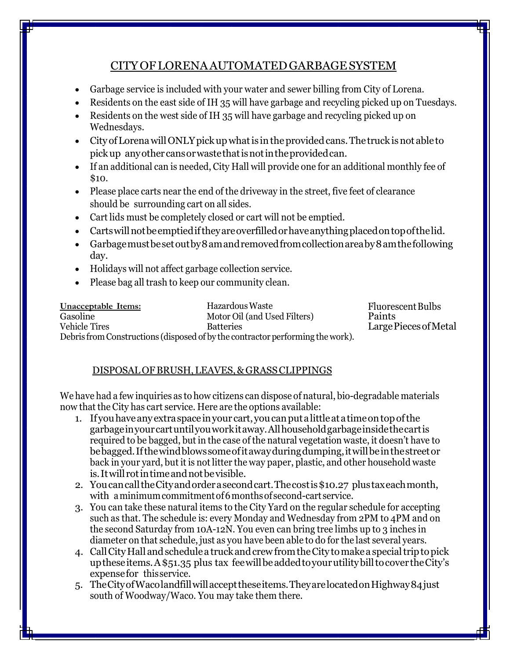#### CITYOFLORENAAUTOMATEDGARBAGESYSTEM

- Garbage service is included with your water and sewer billing from City of Lorena.
- Residents on the east side of IH 35 will have garbage and recycling picked up on Tuesdays.
- Residents on the west side of IH 35 will have garbage and recycling picked up on Wednesdays.
- City of Lorena will ONLY pick up what is in the provided cans. The truck is not able to pickup anyothercansorwastethatisnotintheprovidedcan.
- If an additional can is needed, City Hall will provide one for an additional monthly fee of \$10.
- Please place carts near the end of the driveway in the street, five feet of clearance should be surrounding cart on all sides.
- Cart lids must be completely closed or cart will not be emptied.
- Cartswillnotbeemptiediftheyareoverfilledorhaveanythingplacedontopofthelid.
- Garbage must be set out by 8 am and removed from collection area by 8 am the following day.
- Holidays will not affect garbage collection service.
- Please bag all trash to keep our community clean.

| Unacceptable Items:  | Hazardous Waste                                                                | Fluorescent Bulbs     |
|----------------------|--------------------------------------------------------------------------------|-----------------------|
| Gasoline             | Motor Oil (and Used Filters)                                                   | Paints                |
| <b>Vehicle Tires</b> | <b>Batteries</b>                                                               | Large Pieces of Metal |
|                      | Debris from Constructions (disposed of by the contractor performing the work). |                       |

#### DISPOSALOFBRUSH,LEAVES,&GRASSCLIPPINGS

We have had a few inquiries as to how citizens can dispose of natural, bio-degradable materials now that the City has cart service. Here are the options available:

- 1. Ifyouhaveanyextraspaceinyour cart,youcanputalittleatatimeontopofthe garbageinyourcartuntilyouworkitaway.Allhouseholdgarbageinsidethecartis required to be bagged, but in the case of the natural vegetation waste, it doesn't have to bebagged.Ifthewindblowssomeofitawayduringdumping,itwillbeinthestreetor back in your yard, but it is not litter the way paper, plastic, and other household waste is.Itwill rotintimeandnotbevisible.
- 2. YoucancalltheCityandorderasecondcart.Thecostis\$10.27 plustaxeachmonth, with a minimum commitment of 6 months of second-cart service.
- 3. You can take these natural items to the City Yard on the regular schedule for accepting such as that. The schedule is: every Monday and Wednesday from 2PM to 4PM and on the second Saturday from 10A-12N. You even can bring tree limbs up to 3 inches in diameter on that schedule, just as you have been able to do for the last several years.
- 4. CallCityHall andschedulea truckandcrewfromtheCity tomakea specialtriptopick uptheseitems.A\$51.35 plus tax feewillbeaddedtoyourutilitybilltocover theCity's expensefor thisservice.
- 5. TheCityofWacolandfillwillaccepttheseitems.TheyarelocatedonHighway84just south of Woodway/Waco. You may take them there.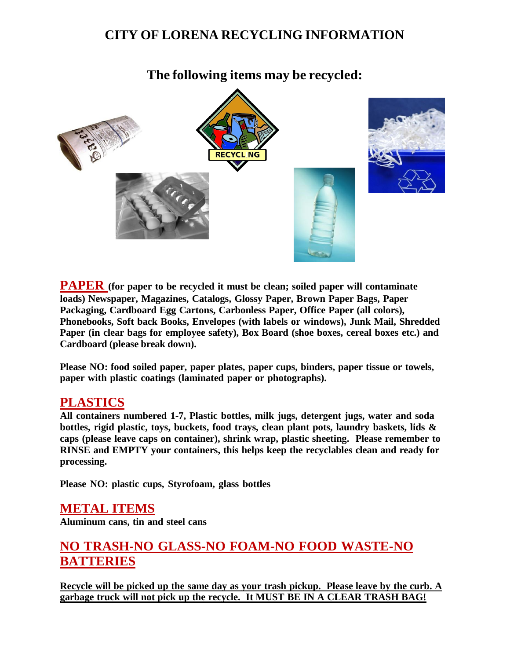# **CITY OF LORENA RECYCLING INFORMATION**

### **The following items may be recycled:**



**PAPER (for paper to be recycled it must be clean; soiled paper will contaminate loads) Newspaper, Magazines, Catalogs, Glossy Paper, Brown Paper Bags, Paper Packaging, Cardboard Egg Cartons, Carbonless Paper, Office Paper (all colors), Phonebooks, Soft back Books, Envelopes (with labels or windows), Junk Mail, Shredded Paper (in clear bags for employee safety), Box Board (shoe boxes, cereal boxes etc.) and Cardboard (please break down).**

**Please NO: food soiled paper, paper plates, paper cups, binders, paper tissue or towels, paper with plastic coatings (laminated paper or photographs).**

#### **PLASTICS**

**All containers numbered 1-7, Plastic bottles, milk jugs, detergent jugs, water and soda bottles, rigid plastic, toys, buckets, food trays, clean plant pots, laundry baskets, lids & caps (please leave caps on container), shrink wrap, plastic sheeting. Please remember to RINSE and EMPTY your containers, this helps keep the recyclables clean and ready for processing.**

**Please NO: plastic cups, Styrofoam, glass bottles**

#### **METAL ITEMS Aluminum cans, tin and steel cans**

# **NO TRASH-NO GLASS-NO FOAM-NO FOOD WASTE-NO BATTERIES**

**Recycle will be picked up the same day as your trash pickup. Please leave by the curb. A garbage truck will not pick up the recycle. It MUST BE IN A CLEAR TRASH BAG!**